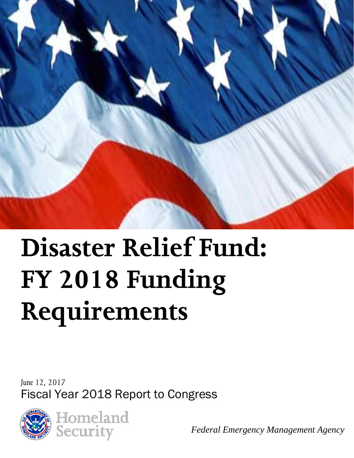

# **Disaster Relief Fund: FY 2018 Funding Requirements**

*June 12, 2017* Fiscal Year 2018 Report to Congress



**Homeland** Security

*Federal Emergency Management Agency*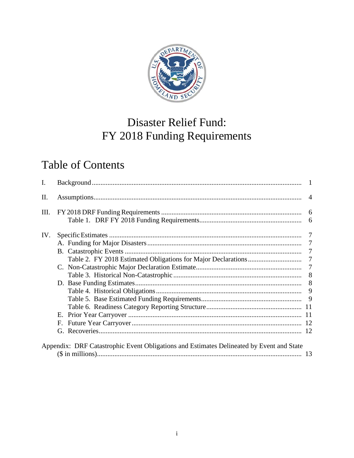

# Disaster Relief Fund: FY 2018 Funding Requirements

# **Table of Contents**

| $\mathbf{I}$ . |                                                                                          |  |
|----------------|------------------------------------------------------------------------------------------|--|
| Π.             |                                                                                          |  |
| III.           |                                                                                          |  |
|                |                                                                                          |  |
| IV.            |                                                                                          |  |
|                |                                                                                          |  |
|                |                                                                                          |  |
|                |                                                                                          |  |
|                |                                                                                          |  |
|                |                                                                                          |  |
|                |                                                                                          |  |
|                |                                                                                          |  |
|                |                                                                                          |  |
|                |                                                                                          |  |
|                |                                                                                          |  |
|                | F.                                                                                       |  |
|                | G.                                                                                       |  |
|                |                                                                                          |  |
|                | Appendix: DRF Catastrophic Event Obligations and Estimates Delineated by Event and State |  |
|                |                                                                                          |  |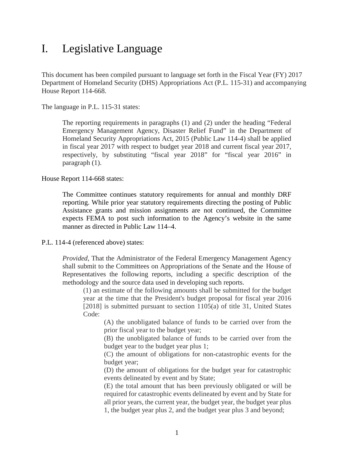## <span id="page-2-0"></span>I. Legislative Language

This document has been compiled pursuant to language set forth in the Fiscal Year (FY) 2017 Department of Homeland Security (DHS) Appropriations Act (P.L. 115-31) and accompanying House Report 114-668.

The language in P.L. 115-31 states:

The reporting requirements in paragraphs (1) and (2) under the heading "Federal Emergency Management Agency, Disaster Relief Fund" in the Department of Homeland Security Appropriations Act, 2015 (Public Law 114-4) shall be applied in fiscal year 2017 with respect to budget year 2018 and current fiscal year 2017, respectively, by substituting "fiscal year 2018" for "fiscal year 2016" in paragraph (1).

House Report 114-668 states:

The Committee continues statutory requirements for annual and monthly DRF reporting. While prior year statutory requirements directing the posting of Public Assistance grants and mission assignments are not continued, the Committee expects FEMA to post such information to the Agency's website in the same manner as directed in Public Law 114–4.

P.L. 114-4 (referenced above) states:

*Provided*, That the Administrator of the Federal Emergency Management Agency shall submit to the Committees on Appropriations of the Senate and the House of Representatives the following reports, including a specific description of the methodology and the source data used in developing such reports.

(1) an estimate of the following amounts shall be submitted for the budget year at the time that the President's budget proposal for fiscal year 2016 [2018] is submitted pursuant to section 1105(a) of title 31, United States Code:

(A) the unobligated balance of funds to be carried over from the prior fiscal year to the budget year;

(B) the unobligated balance of funds to be carried over from the budget year to the budget year plus 1;

(C) the amount of obligations for non-catastrophic events for the budget year;

(D) the amount of obligations for the budget year for catastrophic events delineated by event and by State;

(E) the total amount that has been previously obligated or will be required for catastrophic events delineated by event and by State for all prior years, the current year, the budget year, the budget year plus 1, the budget year plus 2, and the budget year plus 3 and beyond;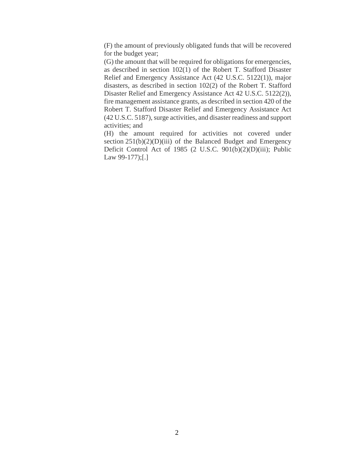(F) the amount of previously obligated funds that will be recovered for the budget year;

(G) the amount that will be required for obligations for emergencies, as described in section 102(1) of the Robert T. Stafford Disaster Relief and Emergency Assistance Act (42 U.S.C. 5122(1)), major disasters, as described in section 102(2) of the Robert T. Stafford Disaster Relief and Emergency Assistance Act 42 U.S.C. 5122(2)), fire management assistance grants, as described in section 420 of the Robert T. Stafford Disaster Relief and Emergency Assistance Act (42 U.S.C. 5187), surge activities, and disaster readiness and support activities; and

(H) the amount required for activities not covered under section  $251(b)(2)(D)(iii)$  of the Balanced Budget and Emergency Deficit Control Act of 1985 (2 U.S.C. 901(b)(2)(D)(iii); Public Law 99-177);[.]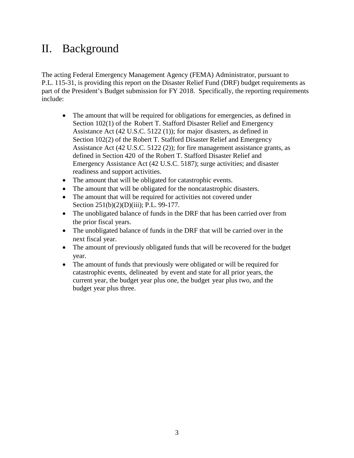## II. Background

The acting Federal Emergency Management Agency (FEMA) Administrator, pursuant to P.L. 115-31, is providing this report on the Disaster Relief Fund (DRF) budget requirements as part of the President's Budget submission for FY 2018. Specifically, the reporting requirements include:

- The amount that will be required for obligations for emergencies, as defined in Section 102(1) of the Robert T. Stafford Disaster Relief and Emergency Assistance Act (42 U.S.C. 5122 (1)); for major disasters, as defined in Section 102(2) of the Robert T. Stafford Disaster Relief and Emergency Assistance Act (42 U.S.C. 5122 (2)); for fire management assistance grants, as defined in Section 420 of the Robert T. Stafford Disaster Relief and Emergency Assistance Act (42 U.S.C. 5187); surge activities; and disaster readiness and support activities.
- The amount that will be obligated for catastrophic events.
- The amount that will be obligated for the noncatastrophic disasters.
- The amount that will be required for activities not covered under Section 251(b)(2)(D)(iii); P.L. 99-177.
- The unobligated balance of funds in the DRF that has been carried over from the prior fiscal years.
- The unobligated balance of funds in the DRF that will be carried over in the next fiscal year.
- The amount of previously obligated funds that will be recovered for the budget year.
- The amount of funds that previously were obligated or will be required for catastrophic events, delineated by event and state for all prior years, the current year, the budget year plus one, the budget year plus two, and the budget year plus three.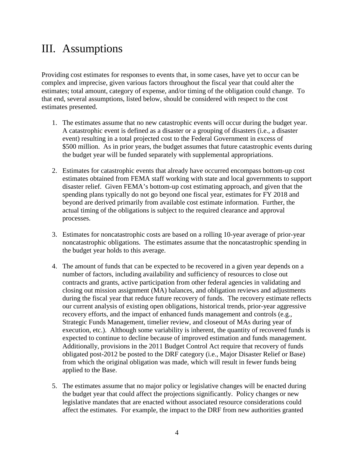## <span id="page-5-0"></span>III. Assumptions

Providing cost estimates for responses to events that, in some cases, have yet to occur can be complex and imprecise, given various factors throughout the fiscal year that could alter the estimates; total amount, category of expense, and/or timing of the obligation could change. To that end, several assumptions, listed below, should be considered with respect to the cost estimates presented.

- 1. The estimates assume that no new catastrophic events will occur during the budget year. A catastrophic event is defined as a disaster or a grouping of disasters (i.e., a disaster event) resulting in a total projected cost to the Federal Government in excess of \$500 million. As in prior years, the budget assumes that future catastrophic events during the budget year will be funded separately with supplemental appropriations.
- 2. Estimates for catastrophic events that already have occurred encompass bottom-up cost estimates obtained from FEMA staff working with state and local governments to support disaster relief. Given FEMA's bottom-up cost estimating approach, and given that the spending plans typically do not go beyond one fiscal year, estimates for FY 2018 and beyond are derived primarily from available cost estimate information. Further, the actual timing of the obligations is subject to the required clearance and approval processes.
- 3. Estimates for noncatastrophic costs are based on a rolling 10-year average of prior-year noncatastrophic obligations. The estimates assume that the noncatastrophic spending in the budget year holds to this average.
- 4. The amount of funds that can be expected to be recovered in a given year depends on a number of factors, including availability and sufficiency of resources to close out contracts and grants, active participation from other federal agencies in validating and closing out mission assignment (MA) balances, and obligation reviews and adjustments during the fiscal year that reduce future recovery of funds. The recovery estimate reflects our current analysis of existing open obligations, historical trends, prior-year aggressive recovery efforts, and the impact of enhanced funds management and controls (e.g., Strategic Funds Management, timelier review, and closeout of MAs during year of execution, etc.). Although some variability is inherent, the quantity of recovered funds is expected to continue to decline because of improved estimation and funds management. Additionally, provisions in the 2011 Budget Control Act require that recovery of funds obligated post-2012 be posted to the DRF category (i.e., Major Disaster Relief or Base) from which the original obligation was made, which will result in fewer funds being applied to the Base.
- 5. The estimates assume that no major policy or legislative changes will be enacted during the budget year that could affect the projections significantly. Policy changes or new legislative mandates that are enacted without associated resource considerations could affect the estimates. For example, the impact to the DRF from new authorities granted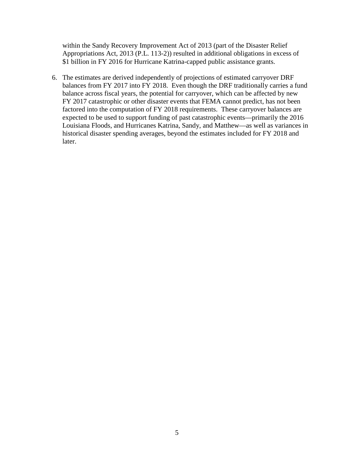within the Sandy Recovery Improvement Act of 2013 (part of the Disaster Relief Appropriations Act, 2013 (P.L. 113-2)) resulted in additional obligations in excess of \$1 billion in FY 2016 for Hurricane Katrina-capped public assistance grants.

6. The estimates are derived independently of projections of estimated carryover DRF balances from FY 2017 into FY 2018. Even though the DRF traditionally carries a fund balance across fiscal years, the potential for carryover, which can be affected by new FY 2017 catastrophic or other disaster events that FEMA cannot predict, has not been factored into the computation of FY 2018 requirements. These carryover balances are expected to be used to support funding of past catastrophic events—primarily the 2016 Louisiana Floods, and Hurricanes Katrina, Sandy, and Matthew—as well as variances in historical disaster spending averages, beyond the estimates included for FY 2018 and later.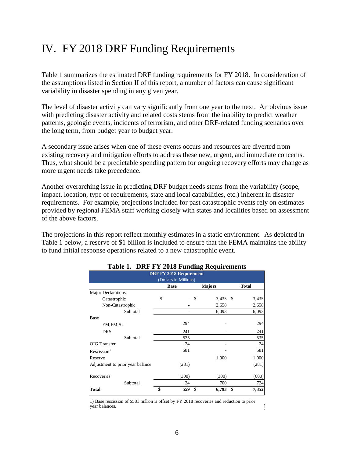## <span id="page-7-0"></span>IV. FY 2018 DRF Funding Requirements

Table 1 summarizes the estimated DRF funding requirements for FY 2018. In consideration of the assumptions listed in Section II of this report, a number of factors can cause significant variability in disaster spending in any given year.

The level of disaster activity can vary significantly from one year to the next. An obvious issue with predicting disaster activity and related costs stems from the inability to predict weather patterns, geologic events, incidents of terrorism, and other DRF-related funding scenarios over the long term, from budget year to budget year.

A secondary issue arises when one of these events occurs and resources are diverted from existing recovery and mitigation efforts to address these new, urgent, and immediate concerns. Thus, what should be a predictable spending pattern for ongoing recovery efforts may change as more urgent needs take precedence.

Another overarching issue in predicting DRF budget needs stems from the variability (scope, impact, location, type of requirements, state and local capabilities, etc.) inherent in disaster requirements. For example, projections included for past catastrophic events rely on estimates provided by regional FEMA staff working closely with states and localities based on assessment of the above factors.

<span id="page-7-1"></span>The projections in this report reflect monthly estimates in a static environment. As depicted in Table 1 below, a reserve of \$1 billion is included to ensure that the FEMA maintains the ability to fund initial response operations related to a new catastrophic event.

| <b>DRF FY 2018 Requirement</b><br>(Dollars in Millions) |             |           |               |              |  |  |  |  |
|---------------------------------------------------------|-------------|-----------|---------------|--------------|--|--|--|--|
|                                                         | <b>Base</b> |           | <b>Majors</b> | <b>Total</b> |  |  |  |  |
| Major Declarations                                      |             |           |               |              |  |  |  |  |
| Catastrophic                                            | \$          | \$        | 3,435         | 3,435<br>\$  |  |  |  |  |
| Non-Catastrophic                                        |             |           | 2,658         | 2,658        |  |  |  |  |
| Subtotal                                                |             |           | 6,093         | 6,093        |  |  |  |  |
| Base                                                    |             |           |               |              |  |  |  |  |
| EM, FM, SU                                              |             | 294       |               | 294          |  |  |  |  |
| <b>DRS</b>                                              |             | 241       |               | 241          |  |  |  |  |
| Subtotal                                                |             | 535       |               | 535          |  |  |  |  |
| <b>OIG</b> Transfer                                     |             | 24        |               | 24           |  |  |  |  |
| Rescission <sup>1</sup>                                 |             | 581       |               | 581          |  |  |  |  |
| Reserve                                                 |             |           | 1,000         | 1,000        |  |  |  |  |
| Adjustment to prior year balance                        |             | (281)     |               | (281)        |  |  |  |  |
| Recoveries                                              |             | (300)     | (300)         | (600)        |  |  |  |  |
| Subtotal                                                |             | 24        | 700           | 724          |  |  |  |  |
| <b>Total</b>                                            | \$          | 559<br>\$ | 6,793         | 7,352<br>\$  |  |  |  |  |

#### **Table 1. DRF FY 2018 Funding Requirements**

1) Base rescission of \$581 million is offset by FY 2018 recoveries and reduction to prior year balances. **F**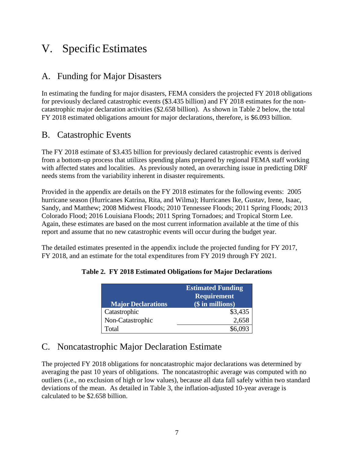## <span id="page-8-0"></span>V. Specific Estimates

## <span id="page-8-1"></span>A. Funding for Major Disasters

In estimating the funding for major disasters, FEMA considers the projected FY 2018 obligations for previously declared catastrophic events (\$3.435 billion) and FY 2018 estimates for the noncatastrophic major declaration activities (\$2.658 billion). As shown in Table 2 below, the total FY 2018 estimated obligations amount for major declarations, therefore, is \$6.093 billion.

### <span id="page-8-2"></span>B. Catastrophic Events

The FY 2018 estimate of \$3.435 billion for previously declared catastrophic events is derived from a bottom-up process that utilizes spending plans prepared by regional FEMA staff working with affected states and localities. As previously noted, an overarching issue in predicting DRF needs stems from the variability inherent in disaster requirements.

Provided in the appendix are details on the FY 2018 estimates for the following events: 2005 hurricane season (Hurricanes Katrina, Rita, and Wilma); Hurricanes Ike, Gustav, Irene, Isaac, Sandy, and Matthew; 2008 Midwest Floods; 2010 Tennessee Floods; 2011 Spring Floods; 2013 Colorado Flood; 2016 Louisiana Floods; 2011 Spring Tornadoes; and Tropical Storm Lee. Again, these estimates are based on the most current information available at the time of this report and assume that no new catastrophic events will occur during the budget year.

<span id="page-8-3"></span>The detailed estimates presented in the appendix include the projected funding for FY 2017, FY 2018, and an estimate for the total expenditures from FY 2019 through FY 2021.

|                           | <b>Estimated Funding</b><br>Requirement |
|---------------------------|-----------------------------------------|
| <b>Major Declarations</b> | (\$ in millions)                        |
| Catastrophic              | \$3,435                                 |
| Non-Catastrophic          | 2,658                                   |
| Total                     |                                         |

#### **Table 2. FY 2018 Estimated Obligations for Major Declarations**

### <span id="page-8-4"></span>C. Noncatastrophic Major Declaration Estimate

The projected FY 2018 obligations for noncatastrophic major declarations was determined by averaging the past 10 years of obligations. The noncatastrophic average was computed with no outliers (i.e., no exclusion of high or low values), because all data fall safely within two standard deviations of the mean. As detailed in Table 3, the inflation-adjusted 10-year average is calculated to be \$2.658 billion.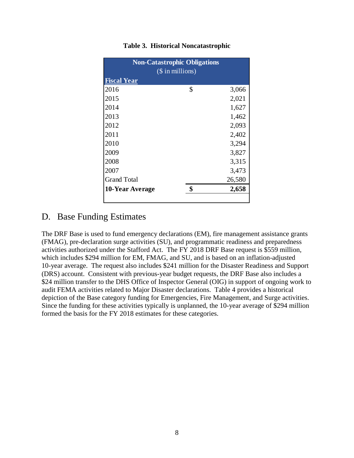<span id="page-9-0"></span>

| <b>Non-Catastrophic Obligations</b> |    |        |  |  |  |  |  |
|-------------------------------------|----|--------|--|--|--|--|--|
| $($$ in millions)                   |    |        |  |  |  |  |  |
| <b>Fiscal Year</b>                  |    |        |  |  |  |  |  |
| 2016                                | \$ | 3,066  |  |  |  |  |  |
| 2015                                |    | 2,021  |  |  |  |  |  |
| 2014                                |    | 1,627  |  |  |  |  |  |
| 2013                                |    | 1,462  |  |  |  |  |  |
| 2012                                |    | 2,093  |  |  |  |  |  |
| 2011                                |    | 2,402  |  |  |  |  |  |
| 2010                                |    | 3,294  |  |  |  |  |  |
| 2009                                |    | 3,827  |  |  |  |  |  |
| 2008                                |    | 3,315  |  |  |  |  |  |
| 2007                                |    | 3,473  |  |  |  |  |  |
| <b>Grand Total</b>                  |    | 26,580 |  |  |  |  |  |
| 10-Year Average                     | \$ | 2,658  |  |  |  |  |  |
|                                     |    |        |  |  |  |  |  |

#### **Table 3. Historical Noncatastrophic**

## <span id="page-9-1"></span>D. Base Funding Estimates

The DRF Base is used to fund emergency declarations (EM), fire management assistance grants (FMAG), pre-declaration surge activities (SU), and programmatic readiness and preparedness activities authorized under the Stafford Act. The FY 2018 DRF Base request is \$559 million, which includes \$294 million for EM, FMAG, and SU, and is based on an inflation-adjusted 10-year average. The request also includes \$241 million for the Disaster Readiness and Support (DRS) account. Consistent with previous-year budget requests, the DRF Base also includes a \$24 million transfer to the DHS Office of Inspector General (OIG) in support of ongoing work to audit FEMA activities related to Major Disaster declarations. Table 4 provides a historical depiction of the Base category funding for Emergencies, Fire Management, and Surge activities. Since the funding for these activities typically is unplanned, the 10-year average of \$294 million formed the basis for the FY 2018 estimates for these categories.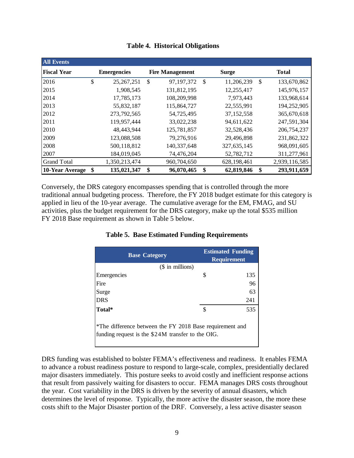<span id="page-10-0"></span>

| <b>All Events</b>  |                    |                        |                  |               |               |
|--------------------|--------------------|------------------------|------------------|---------------|---------------|
| <b>Fiscal Year</b> | <b>Emergencies</b> | <b>Fire Management</b> | <b>Surge</b>     |               | <b>Total</b>  |
| 2016               | \$<br>25, 267, 251 | \$<br>97, 197, 372     | \$<br>11,206,239 | $\mathcal{S}$ | 133,670,862   |
| 2015               | 1,908,545          | 131,812,195            | 12,255,417       |               | 145,976,157   |
| 2014               | 17,785,173         | 108,209,998            | 7,973,443        |               | 133,968,614   |
| 2013               | 55,832,187         | 115,864,727            | 22,555,991       |               | 194,252,905   |
| 2012               | 273,792,565        | 54,725,495             | 37,152,558       |               | 365,670,618   |
| 2011               | 119,957,444        | 33,022,238             | 94,611,622       |               | 247,591,304   |
| 2010               | 48,443,944         | 125,781,857            | 32,528,436       |               | 206,754,237   |
| 2009               | 123,088,508        | 79,276,916             | 29,496,898       |               | 231,862,322   |
| 2008               | 500,118,812        | 140,337,648            | 327,635,145      |               | 968,091,605   |
| 2007               | 184,019,045        | 74,476,204             | 52,782,712       |               | 311,277,961   |
| <b>Grand Total</b> | 1,350,213,474      | 960,704,650            | 628, 198, 461    |               | 2,939,116,585 |
| 10-Year Average    | \$<br>135,021,347  | \$<br>96,070,465       | \$<br>62,819,846 | \$            | 293,911,659   |

|  |  | <b>Table 4. Historical Obligations</b> |
|--|--|----------------------------------------|
|--|--|----------------------------------------|

<span id="page-10-1"></span>Conversely, the DRS category encompasses spending that is controlled through the more traditional annual budgeting process. Therefore, the FY 2018 budget estimate for this category is applied in lieu of the 10-year average. The cumulative average for the EM, FMAG, and SU activities, plus the budget requirement for the DRS category, make up the total \$535 million FY 2018 Base requirement as shown in Table 5 below.

|  | <b>Table 5. Base Estimated Funding Requirements</b> |  |  |
|--|-----------------------------------------------------|--|--|
|--|-----------------------------------------------------|--|--|

| <b>Base Category</b>                                                                                          | <b>Estimated Funding</b><br><b>Requirement</b> |
|---------------------------------------------------------------------------------------------------------------|------------------------------------------------|
| $($$ in millions)                                                                                             |                                                |
| Emergencies                                                                                                   | \$<br>135                                      |
| Fire                                                                                                          | 96                                             |
| Surge                                                                                                         | 63                                             |
| <b>DRS</b>                                                                                                    | 241                                            |
| Total*                                                                                                        | \$<br>535                                      |
| *The difference between the FY 2018 Base requirement and<br>funding request is the \$24M transfer to the OIG. |                                                |

DRS funding was established to bolster FEMA's effectiveness and readiness. It enables FEMA to advance a robust readiness posture to respond to large-scale, complex, presidentially declared major disasters immediately. This posture seeks to avoid costly and inefficient response actions that result from passively waiting for disasters to occur. FEMA manages DRS costs throughout the year. Cost variability in the DRS is driven by the severity of annual disasters, which determines the level of response. Typically, the more active the disaster season, the more these costs shift to the Major Disaster portion of the DRF. Conversely, a less active disaster season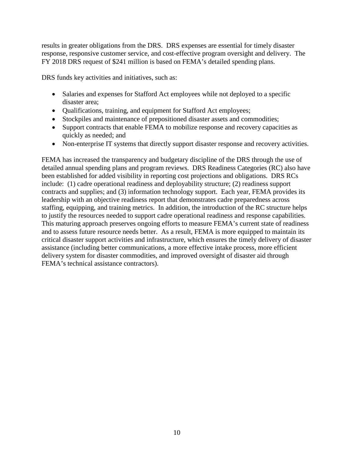results in greater obligations from the DRS. DRS expenses are essential for timely disaster response, responsive customer service, and cost-effective program oversight and delivery. The FY 2018 DRS request of \$241 million is based on FEMA's detailed spending plans.

DRS funds key activities and initiatives, such as:

- Salaries and expenses for Stafford Act employees while not deployed to a specific disaster area;
- Qualifications, training, and equipment for Stafford Act employees;
- Stockpiles and maintenance of prepositioned disaster assets and commodities;
- Support contracts that enable FEMA to mobilize response and recovery capacities as quickly as needed; and
- Non-enterprise IT systems that directly support disaster response and recovery activities.

FEMA has increased the transparency and budgetary discipline of the DRS through the use of detailed annual spending plans and program reviews. DRS Readiness Categories (RC) also have been established for added visibility in reporting cost projections and obligations. DRS RCs include: (1) cadre operational readiness and deployability structure; (2) readiness support contracts and supplies; and (3) information technology support. Each year, FEMA provides its leadership with an objective readiness report that demonstrates cadre preparedness across staffing, equipping, and training metrics. In addition, the introduction of the RC structure helps to justify the resources needed to support cadre operational readiness and response capabilities. This maturing approach preserves ongoing efforts to measure FEMA's current state of readiness and to assess future resource needs better. As a result, FEMA is more equipped to maintain its critical disaster support activities and infrastructure, which ensures the timely delivery of disaster assistance (including better communications, a more effective intake process, more efficient delivery system for disaster commodities, and improved oversight of disaster aid through FEMA's technical assistance contractors).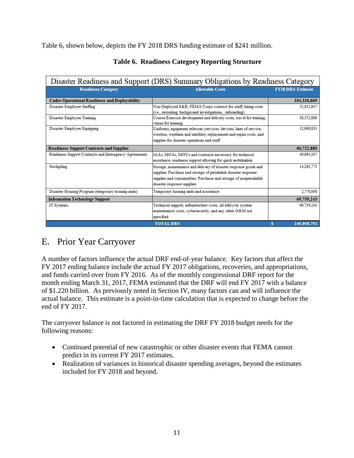<span id="page-12-0"></span>Table 6, shown below, depicts the FY 2018 DRS funding estimate of \$241 million.

| Disaster Readiness and Support (DRS) Summary Obligations by Readiness Category |                                                                                                                                                                                                                                     |                          |  |  |  |
|--------------------------------------------------------------------------------|-------------------------------------------------------------------------------------------------------------------------------------------------------------------------------------------------------------------------------------|--------------------------|--|--|--|
| <b>Readiness Category</b>                                                      | <b>Allowable Costs</b>                                                                                                                                                                                                              | <b>FY18 DRS Estimate</b> |  |  |  |
| <b>Cadre Operational Readiness and Deployability</b>                           |                                                                                                                                                                                                                                     | 104,326,669              |  |  |  |
| Disaster Emplovee Staffing                                                     | Non-Deployed S&B FEMA Corps contract for staff; hiring costs                                                                                                                                                                        | 52.812.947               |  |  |  |
| Disaster Employee Training                                                     | (i.e., recruiting, background investigations, onboarding)<br>Course/Exercise development and delivery costs, travel for training,<br>venue for training                                                                             | 38,552,889               |  |  |  |
| Disaster Employee Equipping                                                    | Uniforms, equipment, telecom (services, devices, lines of service,<br>wireless, wirelines and satellite), replacement and repair costs, and<br>supplies for disaster operations and staff                                           | 12,960,833               |  |  |  |
| <b>Readiness Support Contracts and Supplies</b>                                |                                                                                                                                                                                                                                     | 66,722,880               |  |  |  |
| Readiness Support Contracts and Interagency Agreements                         | IAAs, MOAs, MOUs and contracts necessary for technical<br>assistance, readiness support allowing for quick mobilization                                                                                                             | 49,691,107               |  |  |  |
| Stockpiling                                                                    | Storage, maintenance and delivery of disaster response goods and<br>supplies. Purchase and storage of perishable disaster response<br>supplies and consumables. Purchase and storage of nonperishable<br>disaster response supplies | 14,261,773               |  |  |  |
| Disaster Housing Program (temporary housing units)                             | Temporary housing units and assistance                                                                                                                                                                                              | 2,770,000                |  |  |  |
| <b>Information Technology Support</b>                                          |                                                                                                                                                                                                                                     | 69,759,243               |  |  |  |
| IT Systems                                                                     | Technical support, infrastructure costs, all lifecycle system<br>maintenance costs, cybersecurity, and any other O&M not<br>specified                                                                                               | 69.759.243               |  |  |  |
|                                                                                | <b>TOTAL DRS</b>                                                                                                                                                                                                                    | 240,808,792<br>s         |  |  |  |

#### **Table 6. Readiness Category Reporting Structure**

### <span id="page-12-1"></span>E. Prior Year Carryover

A number of factors influence the actual DRF end-of-year balance. Key factors that affect the FY 2017 ending balance include the actual FY 2017 obligations, recoveries, and appropriations, and funds carried over from FY 2016. As of the monthly congressional DRF report for the month ending March 31, 2017, FEMA estimated that the DRF will end FY 2017 with a balance of \$1.220 billion. As previously noted in Section IV, many factors can and will influence the actual balance. This estimate is a point-in-time calculation that is expected to change before the end of FY 2017.

The carryover balance is not factored in estimating the DRF FY 2018 budget needs for the following reasons:

- Continued potential of new catastrophic or other disaster events that FEMA cannot predict in its current FY 2017 estimates.
- Realization of variances in historical disaster spending averages, beyond the estimates included for FY 2018 and beyond.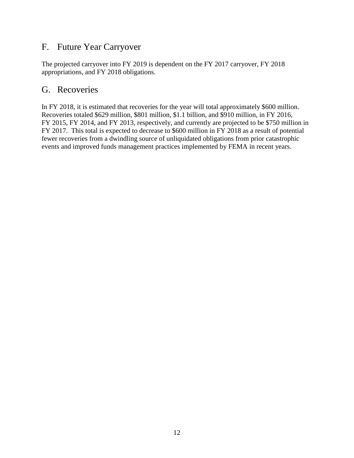## <span id="page-13-0"></span>F. Future Year Carryover

The projected carryover into FY 2019 is dependent on the FY 2017 carryover, FY 2018 appropriations, and FY 2018 obligations.

#### <span id="page-13-1"></span>G. Recoveries

In FY 2018, it is estimated that recoveries for the year will total approximately \$600 million. Recoveries totaled \$629 million, \$801 million, \$1.1 billion, and \$910 million, in FY 2016, FY 2015, FY 2014, and FY 2013, respectively, and currently are projected to be \$750 million in FY 2017. This total is expected to decrease to \$600 million in FY 2018 as a result of potential fewer recoveries from a dwindling source of unliquidated obligations from prior catastrophic events and improved funds management practices implemented by FEMA in recent years.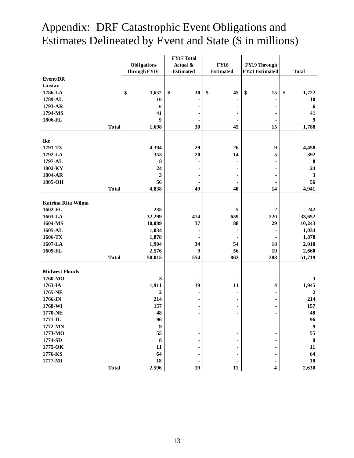<span id="page-14-0"></span>

|                       |              |                  | FY17 Total       |                  |                         |                  |
|-----------------------|--------------|------------------|------------------|------------------|-------------------------|------------------|
|                       |              | Obligations      | Actual &         | <b>FY18</b>      | FY19 Through            |                  |
|                       |              | Through FY16     | <b>Estimated</b> | <b>Estimated</b> | FY21 Estimated          | <b>Total</b>     |
| Event/DR              |              |                  |                  |                  |                         |                  |
| Gustav                |              |                  |                  |                  |                         |                  |
| 1786-LA               | \$           | 1,632            | \$<br>30         | \$<br>45         | \$<br>15                | \$<br>1,722      |
| 1789-AL               |              | 10               |                  |                  |                         | 10               |
| 1793-AR               |              | 6                |                  |                  |                         | 6                |
| 1794-MS               |              | 41               |                  |                  |                         | 41               |
| 1806-FL               |              | 9                |                  |                  |                         | 9                |
|                       | <b>Total</b> | 1,698            | 30               | 45               | 15                      | 1,788            |
|                       |              |                  |                  |                  |                         |                  |
| Ike                   |              |                  |                  |                  |                         |                  |
| 1791-TX               |              | 4,394            | 29               | 26               | 9                       | 4,458            |
| 1792-LA               |              | 353              | 20               | 14               | 5                       | 392              |
| 1797-AL               |              | 8                |                  |                  |                         | $\bf{8}$         |
| 1802-KY               |              | 24               |                  |                  |                         | 24               |
| 1804-AR               |              | 3                |                  |                  |                         | $\mathbf{3}$     |
| 1805-OH               |              | 56               | 49               |                  |                         | 56               |
|                       | <b>Total</b> | 4,838            |                  | 40               | 14                      | 4,941            |
| Katrina Rita Wilma    |              |                  |                  |                  |                         |                  |
| 1602-FL               |              | 235              |                  | 5                | $\boldsymbol{2}$        | 242              |
| 1603-LA               |              | 32,299           | 474              | 659              | 220                     | 33,652           |
| 1604-MS               |              | 10,089           | 37               | 88               | 29                      | 10,243           |
| 1605-AL               |              | 1,034            |                  |                  |                         | 1,034            |
| 1606-TX               |              | 1,878            |                  |                  |                         | 1,878            |
| 1607-LA               |              | 1,904            | 34               | 54               | 18                      | 2,010            |
| 1609-FL               |              | 2,576            | 9                | 56               | 19                      | 2,660            |
|                       | <b>Total</b> | 50,015           | 554              | 862              | 288                     | 51,719           |
| <b>Midwest Floods</b> |              |                  |                  |                  |                         |                  |
| 1760-MO               |              | 3                |                  |                  |                         | 3                |
| 1763-IA               |              | 1,911            | 19               | 11               | 4                       | 1,945            |
| 1765-NE               |              | $\boldsymbol{2}$ |                  |                  |                         | $\overline{2}$   |
| 1766-IN               |              | 214              |                  |                  |                         | 214              |
| 1768-WI               |              | 157              | $\blacksquare$   |                  |                         | 157              |
| 1770-NE               |              | 48               | $\blacksquare$   | ۰                |                         | 48               |
| $1771 - IL$           |              | 96               |                  |                  |                         | 96               |
| 1772-MN               |              | 9                |                  |                  |                         | $\boldsymbol{9}$ |
| 1773-MO               |              | 55               |                  |                  |                         | 55               |
| 1774-SD               |              | 8                |                  |                  |                         | $\bf{8}$         |
| 1775-OK               |              | 11               |                  |                  |                         | 11               |
| 1776-KS               |              | 64               |                  |                  |                         | 64               |
| 1777-MI               |              | 18               |                  |                  |                         | 18               |
|                       | <b>Total</b> | 2,596            | 19               | 11               | $\overline{\mathbf{4}}$ | 2,630            |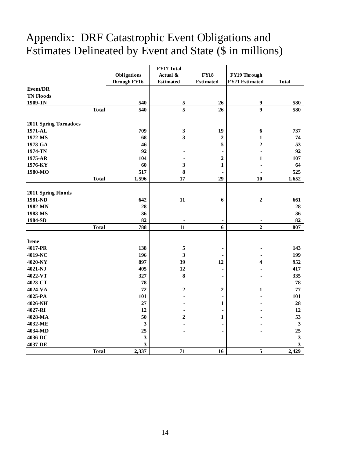|                       |              |              | FY17 Total              |                  |                       |              |
|-----------------------|--------------|--------------|-------------------------|------------------|-----------------------|--------------|
|                       |              | Obligations  | Actual &                | <b>FY18</b>      | FY19 Through          |              |
|                       |              | Through FY16 | <b>Estimated</b>        | <b>Estimated</b> | <b>FY21 Estimated</b> | <b>Total</b> |
| Event/DR              |              |              |                         |                  |                       |              |
| <b>TN Floods</b>      |              |              |                         |                  |                       |              |
| 1909-TN               |              | 540          | 5                       | 26               | 9                     | 580          |
|                       | <b>Total</b> | 540          | $\overline{\mathbf{5}}$ | 26               | $\boldsymbol{9}$      | 580          |
|                       |              |              |                         |                  |                       |              |
| 2011 Spring Tornadoes |              |              |                         |                  |                       |              |
| 1971-AL               |              | 709          | 3                       | 19               | 6                     | 737          |
| 1972-MS               |              | 68           | 3                       | $\boldsymbol{2}$ | 1                     | 74           |
| 1973-GA               |              | 46           |                         | 5                | 2                     | 53           |
| 1974-TN               |              | 92           |                         |                  | $\blacksquare$        | 92           |
| 1975-AR               |              | 104          | ٠                       | $\mathbf 2$      | 1                     | 107          |
| 1976-KY               |              | 60           | 3                       | $\mathbf{1}$     |                       | 64           |
| 1980-MO               |              | 517          | 8                       | ÷                | $\blacksquare$        | 525          |
|                       | <b>Total</b> | 1,596        | 17                      | 29               | 10                    | 1,652        |
|                       |              |              |                         |                  |                       |              |
| 2011 Spring Floods    |              |              |                         |                  |                       |              |
| 1981-ND               |              | 642          | 11                      | 6                | $\boldsymbol{2}$      | 661          |
| 1982-MN               |              | 28           |                         |                  |                       | 28           |
| 1983-MS               |              | 36           | ٠                       | ٠                | ۰                     | 36           |
| 1984-SD               |              | 82           | $\blacksquare$          | ٠                | $\blacksquare$        | 82           |
|                       | <b>Total</b> | 788          | 11                      | 6                | $\overline{2}$        | 807          |
|                       |              |              |                         |                  |                       |              |
| <b>Irene</b>          |              |              |                         |                  |                       |              |
| 4017-PR               |              | 138          | 5                       |                  | ۰                     | 143          |
| 4019-NC               |              | 196          | 3                       |                  |                       | 199          |
| 4020-NY               |              | 897          | 39                      | 12               | 4                     | 952          |
| 4021-NJ               |              | 405          | 12                      |                  |                       | 417          |
| 4022-VT               |              | 327          | 8                       | -                |                       | 335          |
| 4023-CT               |              | 78           |                         | $\blacksquare$   |                       | 78           |
| 4024-VA               |              | 72           | $\boldsymbol{2}$        | $\boldsymbol{2}$ | 1                     | 77           |
| 4025-PA               |              | 101          |                         | $\blacksquare$   |                       | 101          |
| 4026-NH               |              | 27           | ٠                       | $\mathbf{1}$     |                       | 28           |
| 4027-RI               |              | 12           |                         |                  |                       | 12           |
| 4028-MA               |              | 50           | $\boldsymbol{2}$        | $\mathbf{1}$     |                       | 53           |
| 4032-ME               |              | 3            |                         |                  |                       | $\mathbf{3}$ |
| 4034-MD               |              | 25           |                         |                  |                       | 25           |
| 4036-DC               |              | 3            | $\blacksquare$          |                  |                       | $\mathbf{3}$ |
| 4037-DE               |              | 3            |                         |                  |                       | $\mathbf{3}$ |
|                       | <b>Total</b> | 2,337        | 71                      | 16               | 5                     | 2,429        |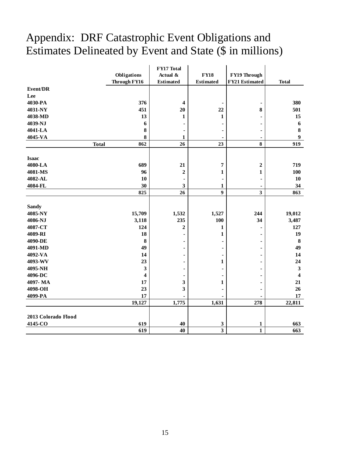|                     |                     | FY17 Total       |                         |                  |                         |
|---------------------|---------------------|------------------|-------------------------|------------------|-------------------------|
|                     | Obligations         | Actual &         | <b>FY18</b>             | FY19 Through     |                         |
|                     | Through FY16        | <b>Estimated</b> | <b>Estimated</b>        | FY21 Estimated   | <b>Total</b>            |
| <b>Event/DR</b>     |                     |                  |                         |                  |                         |
| Lee                 |                     |                  |                         |                  |                         |
| 4030-PA             | 376                 | 4                |                         |                  | 380                     |
| 4031-NY             | 451                 | 20               | 22                      | 8                | 501                     |
| 4038-MD             | 13                  | 1                | 1                       |                  | 15                      |
| 4039-NJ             | 6                   |                  |                         |                  | $\boldsymbol{6}$        |
| 4041-LA             | 8                   |                  |                         |                  | $\bf{8}$                |
| 4045-VA             | 8                   | 1                |                         |                  | 9                       |
|                     | <b>Total</b><br>862 | 26               | 23                      | 8                | 919                     |
|                     |                     |                  |                         |                  |                         |
| <b>Isaac</b>        |                     |                  |                         |                  |                         |
| 4080-LA             | 689                 | 21               | 7                       | $\boldsymbol{2}$ | 719                     |
| 4081-MS             | 96                  | $\boldsymbol{2}$ | 1                       | 1                | 100                     |
| 4082-AL             | 10                  | ٠                |                         |                  | 10                      |
| 4084-FL             | 30                  | 3                | 1                       | $\blacksquare$   | 34                      |
|                     | 825                 | 26               | 9                       | 3                | 863                     |
| <b>Sandy</b>        |                     |                  |                         |                  |                         |
| 4085-NY             | 15,709              | 1,532            | 1,527                   | 244              | 19,012                  |
| 4086-NJ             | 3,118               | 235              | 100                     | 34               | 3,487                   |
| 4087-CT             | 124                 | $\overline{2}$   | 1                       |                  | 127                     |
| 4089-RI             | 18                  |                  | 1                       |                  | 19                      |
| 4090-DE             | 8                   |                  |                         |                  | $\bf{8}$                |
| 4091-MD             | 49                  |                  |                         |                  | 49                      |
| 4092-VA             | 14                  |                  |                         |                  | 14                      |
| 4093-WV             | 23                  |                  | 1                       |                  | 24                      |
| 4095-NH             | 3                   |                  |                         |                  | $\mathbf{3}$            |
| 4096-DC             | 4                   |                  |                         |                  | $\overline{\mathbf{4}}$ |
| 4097-MA             | 17                  | 3                | 1                       |                  | 21                      |
| 4098-OH             | 23                  | 3                |                         |                  | 26                      |
| 4099-PA             | 17                  |                  |                         |                  | 17                      |
|                     | 19,127              | 1,775            | 1,631                   | 278              | 22,811                  |
|                     |                     |                  |                         |                  |                         |
| 2013 Colorado Flood |                     |                  |                         |                  |                         |
| 4145-CO             | 619                 | 40               | 3                       | 1                | 663                     |
|                     | 619                 | 40               | $\overline{\mathbf{3}}$ | $\mathbf{1}$     | 663                     |